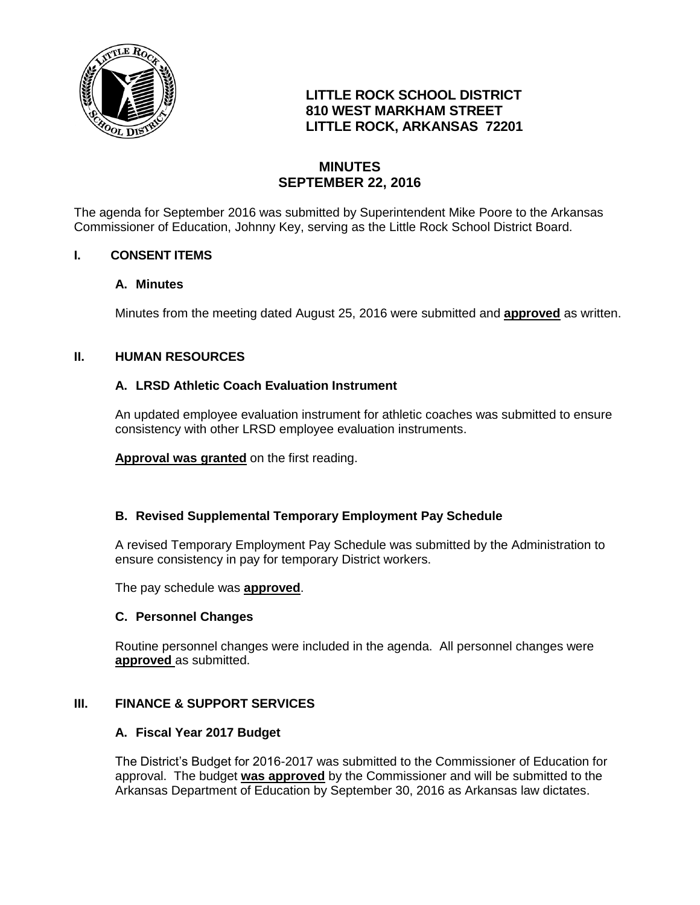

# **LITTLE ROCK SCHOOL DISTRICT 810 WEST MARKHAM STREET LITTLE ROCK, ARKANSAS 72201**

## **MINUTES SEPTEMBER 22, 2016**

The agenda for September 2016 was submitted by Superintendent Mike Poore to the Arkansas Commissioner of Education, Johnny Key, serving as the Little Rock School District Board.

## **I. CONSENT ITEMS**

#### **A. Minutes**

Minutes from the meeting dated August 25, 2016 were submitted and **approved** as written.

## **II. HUMAN RESOURCES**

## **A. LRSD Athletic Coach Evaluation Instrument**

An updated employee evaluation instrument for athletic coaches was submitted to ensure consistency with other LRSD employee evaluation instruments.

**Approval was granted** on the first reading.

## **B. Revised Supplemental Temporary Employment Pay Schedule**

A revised Temporary Employment Pay Schedule was submitted by the Administration to ensure consistency in pay for temporary District workers.

The pay schedule was **approved**.

#### **C. Personnel Changes**

Routine personnel changes were included in the agenda. All personnel changes were **approved** as submitted.

#### **III. FINANCE & SUPPORT SERVICES**

#### **A. Fiscal Year 2017 Budget**

The District's Budget for 2016-2017 was submitted to the Commissioner of Education for approval. The budget **was approved** by the Commissioner and will be submitted to the Arkansas Department of Education by September 30, 2016 as Arkansas law dictates.